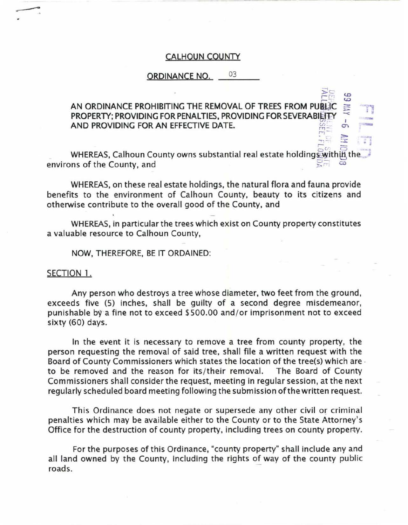## CALHOUN COUNTY

## ORDINANCE NO. 03

## **c.**<br>DEE AN ORDINANCE PROHIBITING THE REMOVAL OF TREES FROM PUBLIC PROPERTY; PROVIDING FOR PENALTIES, PROVIDING FOR SEVERABILITY AND PROVIDING FOR AN EFFECTIVE DATE. r;-

 $5<sup>o</sup>$ .  $5<sup>o</sup>$ WHEREAS, Calhoun County owns substantial real estate holdings within the... environs of the County, and

 $\frac{1}{n-1}$   $\frac{n}{n-1}$ 

 $\mathbb{F}_2$  ,

WHEREAS, on these real estate holdings, the natural flora and fauna provide benefits to the environment of Calhoun County, beauty to its citizens and otherwise contribute to the overall good of the County, and

WHEREAS, in particular the trees which exist on County property constitutes a valuable resource to Calhoun County,

NOW, THEREFORE, BE IT ORDAINED:

## SECTION 1.

Any person who destroys a tree whose diameter, two feet from the ground, exceeds five (5) inches, shall be guilty of a second degree misdemeanor, punishable by a fine not to exceed \$500.00 and/or imprisonment not to exceed sixty (60) days.

In the event it is necessary to remove a tree from county property, the person requesting the removal of said tree, shall file a written request with the Board of County Commissioners which states the location of the tree(s) which are · to be removed and the reason for its/their removal. The Board of County Commissioners shall consider the request, meeting in regular session, at the next regularly scheduled board meeting following the submission of the written request.

This Ordinance does not negate or supersede any other civil or criminal penalties which may be available either to the County or to the State Attorney's Office for the destruction of county property, including trees on county property.

For the purposes of this Ordinance, "county property" shall include any and all land owned by the County, including the rights of way of the county public roads.